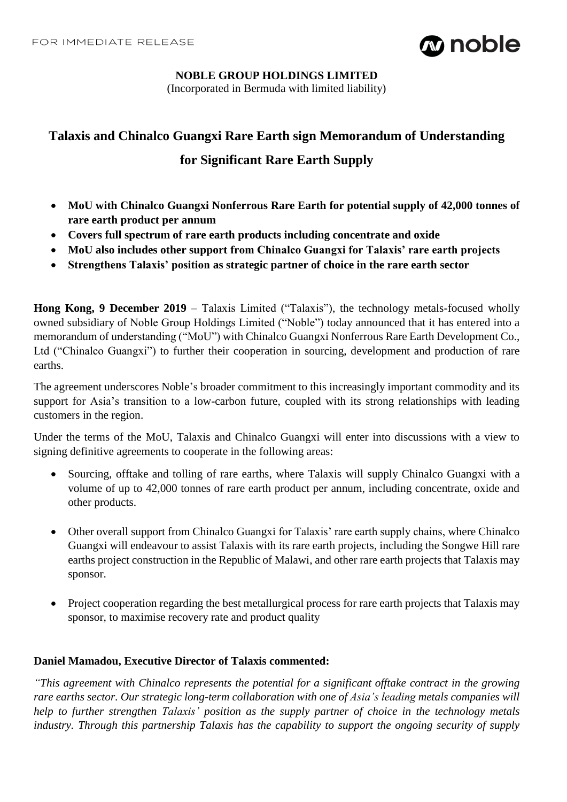

### **NOBLE GROUP HOLDINGS LIMITED**

(Incorporated in Bermuda with limited liability)

# **Talaxis and Chinalco Guangxi Rare Earth sign Memorandum of Understanding**

## **for Significant Rare Earth Supply**

- **MoU with Chinalco Guangxi Nonferrous Rare Earth for potential supply of 42,000 tonnes of rare earth product per annum**
- **Covers full spectrum of rare earth products including concentrate and oxide**
- **MoU also includes other support from Chinalco Guangxi for Talaxis' rare earth projects**
- **Strengthens Talaxis' position as strategic partner of choice in the rare earth sector**

**Hong Kong, 9 December 2019** – Talaxis Limited ("Talaxis"), the technology metals-focused wholly owned subsidiary of Noble Group Holdings Limited ("Noble") today announced that it has entered into a memorandum of understanding ("MoU") with Chinalco Guangxi Nonferrous Rare Earth Development Co., Ltd ("Chinalco Guangxi") to further their cooperation in sourcing, development and production of rare earths.

The agreement underscores Noble's broader commitment to this increasingly important commodity and its support for Asia's transition to a low-carbon future, coupled with its strong relationships with leading customers in the region.

Under the terms of the MoU, Talaxis and Chinalco Guangxi will enter into discussions with a view to signing definitive agreements to cooperate in the following areas:

- Sourcing, offtake and tolling of rare earths, where Talaxis will supply Chinalco Guangxi with a volume of up to 42,000 tonnes of rare earth product per annum, including concentrate, oxide and other products.
- Other overall support from Chinalco Guangxi for Talaxis' rare earth supply chains, where Chinalco Guangxi will endeavour to assist Talaxis with its rare earth projects, including the Songwe Hill rare earths project construction in the Republic of Malawi, and other rare earth projects that Talaxis may sponsor.
- Project cooperation regarding the best metallurgical process for rare earth projects that Talaxis may sponsor, to maximise recovery rate and product quality

## **Daniel Mamadou, Executive Director of Talaxis commented:**

*"This agreement with Chinalco represents the potential for a significant offtake contract in the growing rare earths sector. Our strategic long-term collaboration with one of Asia's leading metals companies will help to further strengthen Talaxis' position as the supply partner of choice in the technology metals industry. Through this partnership Talaxis has the capability to support the ongoing security of supply*